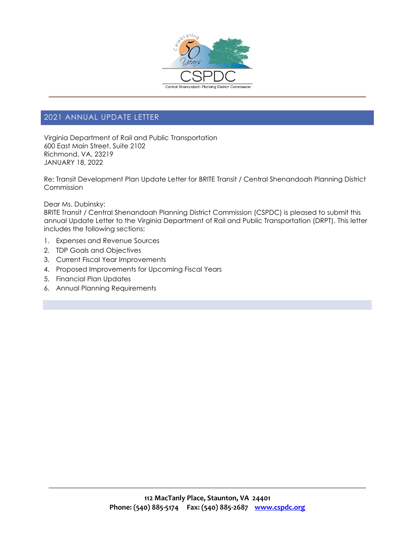

# 2021 ANNUAL UPDATE LETTER

Virginia Department of Rail and Public Transportation 600 East Main Street, Suite 2102 Richmond, VA, 23219 JANUARY 18, 2022

Re: Transit Development Plan Update Letter for BRITE Transit / Central Shenandoah Planning District Commission

Dear Ms. Dubinsky:

BRITE Transit / Central Shenandoah Planning District Commission (CSPDC) is pleased to submit this annual Update Letter to the Virginia Department of Rail and Public Transportation (DRPT). This letter includes the following sections:

- 1. Expenses and Revenue Sources
- 2. TDP Goals and Objectives
- 3. Current Fiscal Year Improvements
- 4. Proposed Improvements for Upcoming Fiscal Years
- 5. Financial Plan Updates
- 6. Annual Planning Requirements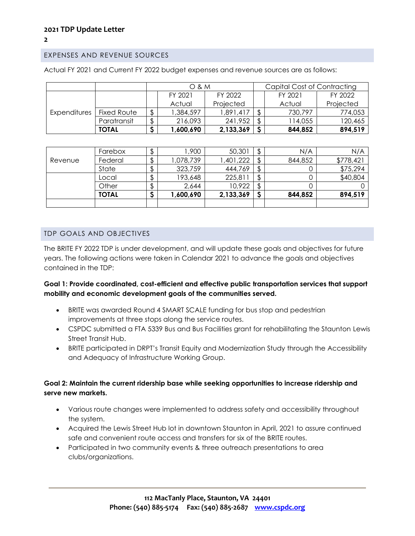# EXPENSES AND REVENUE SOURCES

|              |              |    | O & M     |           | Capital Cost of Contracting |         |           |  |  |  |
|--------------|--------------|----|-----------|-----------|-----------------------------|---------|-----------|--|--|--|
|              |              |    | FY 2021   | FY 2022   |                             | FY 2021 | FY 2022   |  |  |  |
|              |              |    | Actual    | Projected |                             | Actual  | Projected |  |  |  |
| Expenditures | Fixed Route  | \$ | 1,384,597 | 1,891,417 | ¢                           | 730,797 | 774,053   |  |  |  |
|              | Paratransit  | P  | 216,093   | 241,952   | \$                          | 14,055  | 120,465   |  |  |  |
|              | <b>TOTAL</b> |    | 1,600,690 | 2,133,369 |                             | 844,852 | 894,519   |  |  |  |

Actual FY 2021 and Current FY 2022 budget expenses and revenue sources are as follows:

|         | Farebox | \$ | ,900      | 50,301    | \$ | N/A     | N/A       |
|---------|---------|----|-----------|-----------|----|---------|-----------|
| Revenue | Federal | \$ | ,078,739  | ,401,222  |    | 844,852 | \$778,421 |
|         | State   | J  | 323,759   | 444,769   | J. |         | \$75,294  |
|         | Local   | P  | 193,648   | 225,811   | JD |         | \$40,804  |
|         | Other   | J  | 2,644     | 10,922    | J. |         |           |
|         | TOTAL   | پ  | 1,600,690 | 2,133,369 |    | 844,852 | 894,519   |
|         |         |    |           |           |    |         |           |

#### TDP GOALS AND OBJECTIVES

The BRITE FY 2022 TDP is under development, and will update these goals and objectives for future years. The following actions were taken in Calendar 2021 to advance the goals and objectives contained in the TDP:

#### **Goal 1: Provide coordinated, cost-efficient and effective public transportation services that support mobility and economic development goals of the communities served.**

- BRITE was awarded Round 4 SMART SCALE funding for bus stop and pedestrian improvements at three stops along the service routes.
- CSPDC submitted a FTA 5339 Bus and Bus Facilities grant for rehabilitating the Staunton Lewis Street Transit Hub.
- BRITE participated in DRPT's Transit Equity and Modernization Study through the Accessibility and Adequacy of Infrastructure Working Group.

#### **Goal 2: Maintain the current ridership base while seeking opportunities to increase ridership and serve new markets.**

- Various route changes were implemented to address safety and accessibility throughout the system.
- Acquired the Lewis Street Hub lot in downtown Staunton in April, 2021 to assure continued safe and convenient route access and transfers for six of the BRITE routes.
- Participated in two community events & three outreach presentations to area clubs/organizations.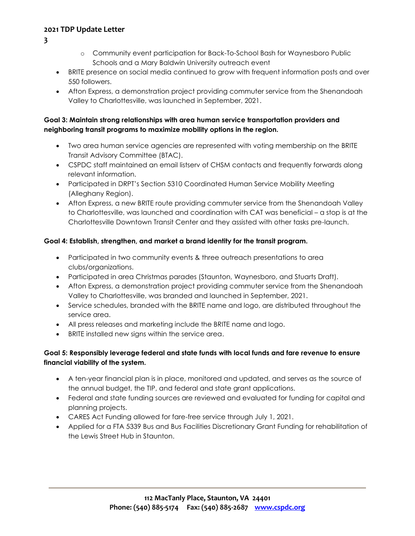- **3**
- o Community event participation for Back-To-School Bash for Waynesboro Public Schools and a Mary Baldwin University outreach event
- BRITE presence on social media continued to grow with frequent information posts and over 550 followers.
- Afton Express, a demonstration project providing commuter service from the Shenandoah Valley to Charlottesville, was launched in September, 2021.

#### **Goal 3: Maintain strong relationships with area human service transportation providers and neighboring transit programs to maximize mobility options in the region.**

- Two area human service agencies are represented with voting membership on the BRITE Transit Advisory Committee (BTAC).
- CSPDC staff maintained an email listserv of CHSM contacts and frequently forwards along relevant information.
- Participated in DRPT's Section 5310 Coordinated Human Service Mobility Meeting (Alleghany Region).
- Afton Express, a new BRITE route providing commuter service from the Shenandoah Valley to Charlottesville, was launched and coordination with CAT was beneficial – a stop is at the Charlottesville Downtown Transit Center and they assisted with other tasks pre-launch.

## **Goal 4: Establish, strengthen, and market a brand identity for the transit program.**

- Participated in two community events & three outreach presentations to area clubs/organizations.
- Participated in area Christmas parades (Staunton, Waynesboro, and Stuarts Draft).
- Afton Express, a demonstration project providing commuter service from the Shenandoah Valley to Charlottesville, was branded and launched in September, 2021.
- Service schedules, branded with the BRITE name and logo, are distributed throughout the service area.
- All press releases and marketing include the BRITE name and logo.
- BRITE installed new signs within the service area.

## **Goal 5: Responsibly leverage federal and state funds with local funds and fare revenue to ensure financial viability of the system.**

- A ten-year financial plan is in place, monitored and updated, and serves as the source of the annual budget, the TIP, and federal and state grant applications.
- Federal and state funding sources are reviewed and evaluated for funding for capital and planning projects.
- CARES Act Funding allowed for fare-free service through July 1, 2021.
- Applied for a FTA 5339 Bus and Bus Facilities Discretionary Grant Funding for rehabilitation of the Lewis Street Hub in Staunton.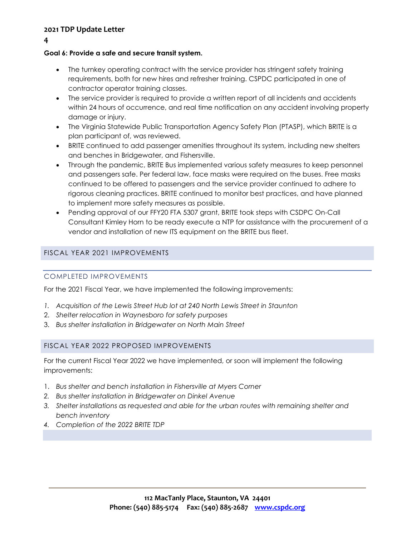**4**

# **Goal 6: Provide a safe and secure transit system.**

- The turnkey operating contract with the service provider has stringent safety training requirements, both for new hires and refresher training. CSPDC participated in one of contractor operator training classes.
- The service provider is required to provide a written report of all incidents and accidents within 24 hours of occurrence, and real time notification on any accident involving property damage or injury.
- The Virginia Statewide Public Transportation Agency Safety Plan (PTASP), which BRITE is a plan participant of, was reviewed.
- BRITE continued to add passenger amenities throughout its system, including new shelters and benches in Bridgewater, and Fishersville.
- Through the pandemic, BRITE Bus implemented various safety measures to keep personnel and passengers safe. Per federal law, face masks were required on the buses. Free masks continued to be offered to passengers and the service provider continued to adhere to rigorous cleaning practices. BRITE continued to monitor best practices, and have planned to implement more safety measures as possible.
- Pending approval of our FFY20 FTA 5307 grant, BRITE took steps with CSDPC On-Call Consultant Kimley Horn to be ready execute a NTP for assistance with the procurement of a vendor and installation of new ITS equipment on the BRITE bus fleet.

# FISCAL YEAR 2021 IMPROVEMENTS

# COMPLETED IMPROVEMENTS

For the 2021 Fiscal Year, we have implemented the following improvements:

- *1. Acquisition of the Lewis Street Hub lot at 240 North Lewis Street in Staunton*
- 2. *Shelter relocation in Waynesboro for safety purposes*
- 3. *Bus shelter installation in Bridgewater on North Main Street*

# FISCAL YEAR 2022 PROPOSED IMPROVEMENTS

For the current Fiscal Year 2022 we have implemented, or soon will implement the following improvements:

- 1. *Bus shelter and bench installation in Fishersville at Myers Corner*
- *2. Bus shelter installation in Bridgewater on Dinkel Avenue*
- *3. Shelter installations as requested and able for the urban routes with remaining shelter and bench inventory*
- *4. Completion of the 2022 BRITE TDP*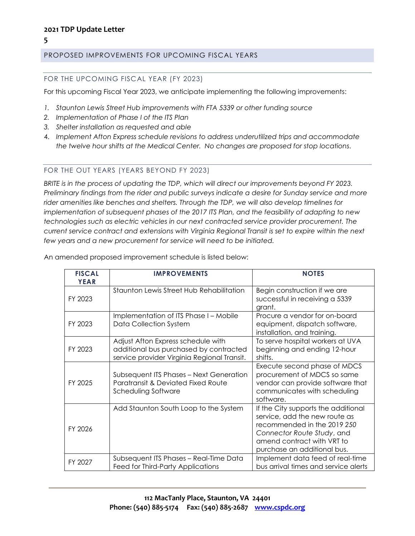#### PROPOSED IMPROVEMENTS FOR UPCOMING FISCAL YEARS

#### FOR THE UPCOMING FISCAL YEAR (FY 2023)

For this upcoming Fiscal Year 2023, we anticipate implementing the following improvements:

- *1. Staunton Lewis Street Hub improvements with FTA 5339 or other funding source*
- *2. Implementation of Phase I of the ITS Plan*
- *3. Shelter installation as requested and able*
- 4. *Implement Afton Express schedule revisions to address underutilized trips and accommodate the twelve hour shifts at the Medical Center. No changes are proposed for stop locations.*

#### FOR THE OUT YEARS (YEARS BEYOND FY 2023)

*BRITE is in the process of updating the TDP, which will direct our improvements beyond FY 2023. Preliminary findings from the rider and public surveys indicate a desire for Sunday service and more rider amenities like benches and shelters. Through the TDP, we will also develop timelines for implementation of subsequent phases of the 2017 ITS Plan, and the feasibility of adapting to new technologies such as electric vehicles in our next contracted service provider procurement. The current service contract and extensions with Virginia Regional Transit is set to expire within the next few years and a new procurement for service will need to be initiated.*

An amended proposed improvement schedule is listed below:

| <b>FISCAL</b><br><b>YEAR</b> | <b>IMPROVEMENTS</b>                                                                                                         | <b>NOTES</b>                                                                                                                                                                                   |
|------------------------------|-----------------------------------------------------------------------------------------------------------------------------|------------------------------------------------------------------------------------------------------------------------------------------------------------------------------------------------|
| FY 2023                      | Staunton Lewis Street Hub Rehabilitation                                                                                    | Begin construction if we are<br>successful in receiving a 5339<br>grant.                                                                                                                       |
| FY 2023                      | Implementation of ITS Phase I – Mobile<br>Data Collection System                                                            | Procure a vendor for on-board<br>equipment, dispatch software,<br>installation, and training.                                                                                                  |
| FY 2023                      | Adjust Afton Express schedule with<br>additional bus purchased by contracted<br>service provider Virginia Regional Transit. | To serve hospital workers at UVA<br>beginning and ending 12-hour<br>shifts.                                                                                                                    |
| FY 2025                      | Subsequent ITS Phases – Next Generation<br><b>Paratransit &amp; Deviated Fixed Route</b><br>Scheduling Software             | Execute second phase of MDCS<br>procurement of MDCS so same<br>vendor can provide software that<br>communicates with scheduling<br>software.                                                   |
| FY 2026                      | Add Staunton South Loop to the System                                                                                       | If the City supports the additional<br>service, add the new route as<br>recommended in the 2019 250<br>Connector Route Study, and<br>amend contract with VRT to<br>purchase an additional bus. |
| FY 2027                      | Subsequent ITS Phases - Real-Time Data<br>Feed for Third-Party Applications                                                 | Implement data feed of real-time<br>bus arrival times and service alerts                                                                                                                       |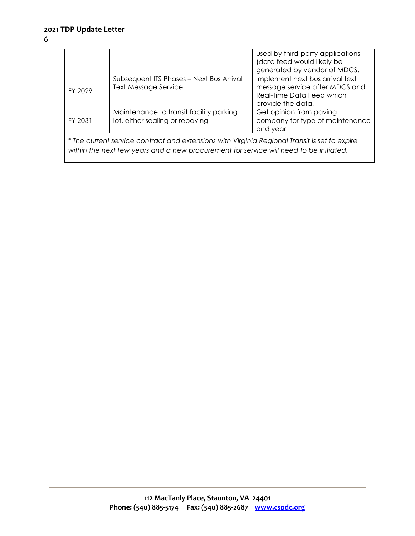# **6**

|                                                                                                                                                                                         |                                                                            | used by third-party applications<br>(data feed would likely be<br>generated by vendor of MDCS.                      |  |  |  |  |  |  |
|-----------------------------------------------------------------------------------------------------------------------------------------------------------------------------------------|----------------------------------------------------------------------------|---------------------------------------------------------------------------------------------------------------------|--|--|--|--|--|--|
| FY 2029                                                                                                                                                                                 | Subsequent ITS Phases - Next Bus Arrival<br><b>Text Message Service</b>    | Implement next bus arrival text<br>message service after MDCS and<br>Real-Time Data Feed which<br>provide the data. |  |  |  |  |  |  |
| FY 2031                                                                                                                                                                                 | Maintenance to transit facility parking<br>lot, either sealing or repaving | Get opinion from paving<br>company for type of maintenance<br>and year                                              |  |  |  |  |  |  |
| * The current service contract and extensions with Virginia Regional Transit is set to expire<br>within the next few years and a new procurement for service will need to be initiated. |                                                                            |                                                                                                                     |  |  |  |  |  |  |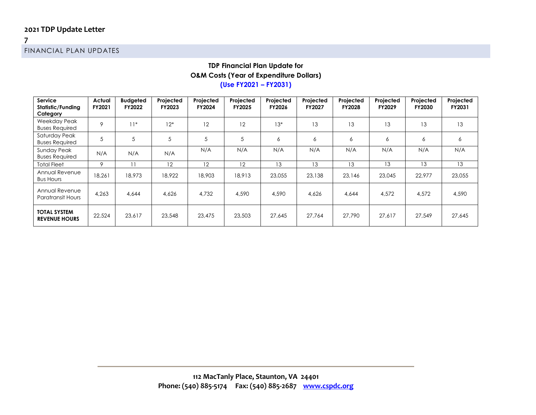**7** FINANCIAL PLAN UPDATES

#### **TDP Financial Plan Update for O&M Costs (Year of Expenditure Dollars) (Use FY2021 – FY2031)**

| Service<br>Statistic/Funding<br>Category    | Actual<br>FY2021 | <b>Budgeted</b><br>FY2022 | Projected<br><b>FY2023</b> | Projected<br>FY2024 | Projected<br>FY2025 | Projected<br>FY2026 | Projected<br><b>FY2027</b> | Projected<br><b>FY2028</b> | Projected<br>FY2029 | Projected<br><b>FY2030</b> | Projected<br>FY2031 |
|---------------------------------------------|------------------|---------------------------|----------------------------|---------------------|---------------------|---------------------|----------------------------|----------------------------|---------------------|----------------------------|---------------------|
| Weekday Peak<br><b>Buses Required</b>       | 9                | $11*$                     | $12*$                      | 12                  | 12                  | $13*$               | 13                         | 13                         | 13                  | 13                         | 13                  |
| Saturday Peak<br><b>Buses Required</b>      | 5                | 5                         | 5                          |                     | 5                   | 6                   | 6                          | 6                          | 6                   | 6                          | 6                   |
| Sunday Peak<br><b>Buses Required</b>        | N/A              | N/A                       | N/A                        | N/A                 | N/A                 | N/A                 | N/A                        | N/A                        | N/A                 | N/A                        | N/A                 |
| <b>Total Fleet</b>                          | 9                | $\overline{1}$            | 12                         | 12                  | 12                  | 13                  | 13                         | 13                         | 13                  | 13                         | 13                  |
| Annual Revenue<br><b>Bus Hours</b>          | 18,261           | 18,973                    | 18,922                     | 18,903              | 18,913              | 23,055              | 23,138                     | 23,146                     | 23,045              | 22.977                     | 23,055              |
| Annual Revenue<br><b>Paratransit Hours</b>  | 4,263            | 4.644                     | 4.626                      | 4.732               | 4,590               | 4,590               | 4,626                      | 4,644                      | 4,572               | 4,572                      | 4,590               |
| <b>TOTAL SYSTEM</b><br><b>REVENUE HOURS</b> | 22,524           | 23,617                    | 23,548                     | 23,475              | 23,503              | 27,645              | 27.764                     | 27.790                     | 27.617              | 27,549                     | 27,645              |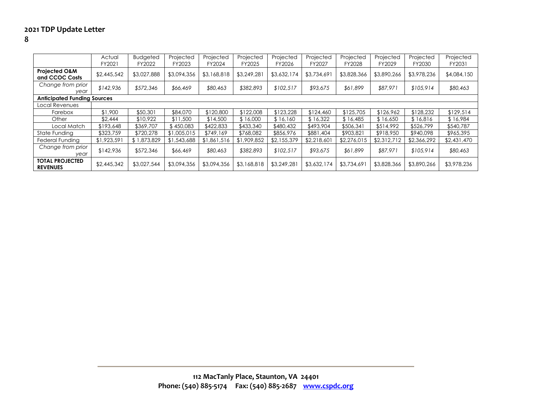|                                            | Actual<br>FY2021 | <b>Budgeted</b><br>FY2022 | Projected<br>FY2023 | Projected<br>FY2024 | Projected<br>FY2025 | Projected<br>FY2026 | Projected<br>FY2027 | Projected<br>FY2028 | Projected<br>FY2029 | Projected<br>FY2030 | Projected<br>FY2031 |
|--------------------------------------------|------------------|---------------------------|---------------------|---------------------|---------------------|---------------------|---------------------|---------------------|---------------------|---------------------|---------------------|
| <b>Projected O&amp;M</b><br>and CCOC Costs | \$2,445,542      | \$3,027,888               | \$3,094,356         | \$3,168,818         | \$3,249,281         | \$3,632,174         | \$3,734,69          | \$3,828,366         | \$3,890,266         | \$3,978,236         | \$4,084,150         |
| Change from prior<br>year                  | \$142,936        | \$572,346                 | \$66,469            | \$80,463            | \$382,893           | \$102,517           | \$93,675            | \$61,899            | \$87,971            | \$105,914           | \$80,463            |
| <b>Anticipated Funding Sources</b>         |                  |                           |                     |                     |                     |                     |                     |                     |                     |                     |                     |
| Local Revenues                             |                  |                           |                     |                     |                     |                     |                     |                     |                     |                     |                     |
| Farebox                                    | \$1,900          | \$50,301                  | \$84,070            | \$120,800           | \$122,008           | \$123,228           | \$124,460           | \$125,705           | \$126,962           | \$128,232           | \$129,514           |
| Other                                      | \$2.444          | \$10.922                  | \$11,500            | \$14,500            | \$16,000            | \$16.160            | \$16,322            | \$16.485            | \$16.650            | \$16,816            | \$16,984            |
| Local Match                                | \$193,648        | \$369,707                 | \$450,083           | \$422,833           | \$433,340           | \$480,432           | \$493,904           | \$506,341           | \$514,992           | \$526,799           | \$540,787           |
| State Funding                              | \$323,759        | \$720,278                 | \$1,005,015         | \$749,169           | \$768,082           | \$856,976           | \$881,404           | \$903,821           | \$918,950           | \$940,098           | \$965,395           |
| Federal Funding                            | \$1,923,591      | \$1,873,829               | \$1,543,688         | \$1,861,516         | \$1,909,852         | \$2,155,379         | \$2,218,601         | \$2,276,015         | \$2,312,712         | \$2,366,292         | \$2,431,470         |
| Change from prior<br>year                  | \$142,936        | \$572,346                 | \$66,469            | \$80,463            | \$382,893           | \$102.517           | \$93,675            | \$61,899            | \$87,971            | \$105,914           | \$80,463            |
| <b>TOTAL PROJECTED</b><br><b>REVENUES</b>  | \$2,445,342      | \$3,027,544               | \$3,094,356         | \$3,094,356         | \$3,168,818         | \$3,249,28          | \$3,632,174         | \$3,734,691         | \$3,828,366         | \$3,890,266         | \$3,978,236         |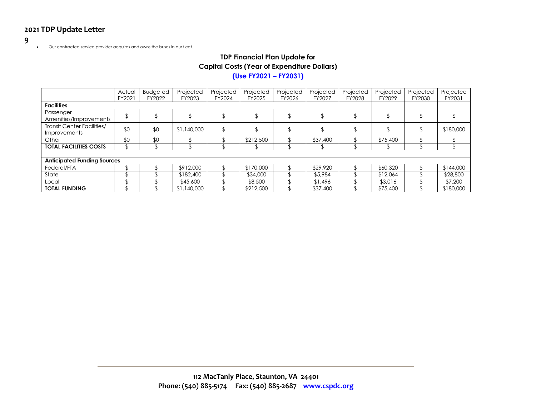#### **9**

• Our contracted service provider acquires and owns the buses in our fleet.

# **TDP Financial Plan Update for Capital Costs (Year of Expenditure Dollars)**

## **(Use FY2021 – FY2031)**

|                                                   | Actual<br>FY2021 | <b>Budgeted</b><br>FY2022 | Projected<br>FY2023 | Projected<br>FY2024 | Projected<br>FY2025 | Projected<br>FY2026 | Projected<br>FY2027 | Projected<br>FY2028 | Projected<br>FY2029 | Projected<br>FY2030 | Projected<br>FY2031 |
|---------------------------------------------------|------------------|---------------------------|---------------------|---------------------|---------------------|---------------------|---------------------|---------------------|---------------------|---------------------|---------------------|
| <b>Facilities</b>                                 |                  |                           |                     |                     |                     |                     |                     |                     |                     |                     |                     |
| Passenger<br>Amenities/Improvements               |                  |                           |                     |                     |                     |                     |                     |                     |                     |                     |                     |
| <b>Transit Center Facilities/</b><br>Improvements | \$0              | \$0                       | \$1,140,000         | \$                  |                     |                     |                     |                     |                     |                     | \$180,000           |
| Other                                             | \$0              | \$0                       |                     |                     | \$212,500           |                     | \$37,400            |                     | \$75,400            |                     |                     |
| <b>TOTAL FACILITIES COSTS</b>                     |                  |                           |                     |                     |                     |                     |                     |                     |                     |                     |                     |
|                                                   |                  |                           |                     |                     |                     |                     |                     |                     |                     |                     |                     |
| <b>Anticipated Funding Sources</b>                |                  |                           |                     |                     |                     |                     |                     |                     |                     |                     |                     |
| Federal/FTA                                       |                  |                           | \$912,000           |                     | \$170,000           |                     | \$29,920            |                     | \$60,320            |                     | \$144,000           |
| State                                             |                  |                           | \$182,400           |                     | \$34,000            |                     | \$5,984             |                     | \$12,064            |                     | \$28,800            |
| Local                                             |                  |                           | \$45,600            |                     | \$8,500             |                     | \$1,496             |                     | \$3,016             |                     | \$7,200             |
| <b>TOTAL FUNDING</b>                              |                  |                           | \$1,140,000         |                     | \$212,500           |                     | \$37,400            |                     | \$75,400            |                     | \$180,000           |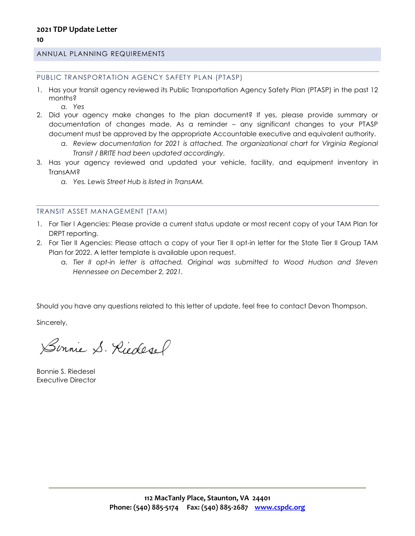#### ANNUAL PLANNING REQUIREMENTS

PUBLIC TRANSPORTATION AGENCY SAFETY PLAN (PTASP)

- 1. Has your transit agency reviewed its Public Transportation Agency Safety Plan (PTASP) in the past 12 months?
	- *a. Yes*
- 2. Did your agency make changes to the plan document? If yes, please provide summary or documentation of changes made. As a reminder – any significant changes to your PTASP document must be approved by the appropriate Accountable executive and equivalent authority.
	- *a. Review documentation for 2021 is attached. The organizational chart for Virginia Regional Transit / BRITE had been updated accordingly.*
- 3. Has your agency reviewed and updated your vehicle, facility, and equipment inventory in TransAM?
	- *a. Yes. Lewis Street Hub is listed in TransAM.*

#### TRANSIT ASSET MANAGEMENT (TAM)

- 1. For Tier I Agencies: Please provide a current status update or most recent copy of your TAM Plan for DRPT reporting.
- 2. For Tier II Agencies: Please attach a copy of your Tier II opt-in letter for the State Tier II Group TAM Plan for 2022. A letter template is available upon request.
	- a. *Tier II opt-in letter is attached. Original was submitted to Wood Hudson and Steven Hennessee on December 2, 2021.*

Should you have any questions related to this letter of update, feel free to contact Devon Thompson.

Sincerely,

Sonnie S. Riedesel

Bonnie S. Riedesel Executive Director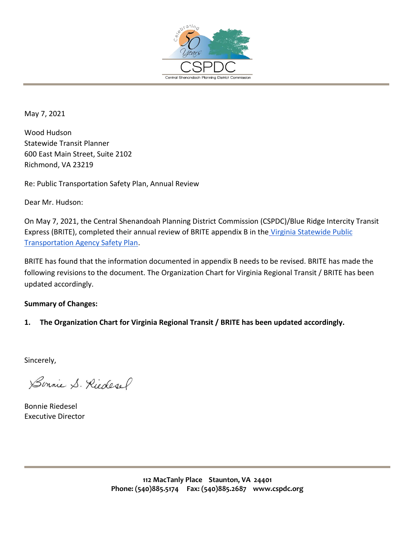

May 7, 2021

Wood Hudson Statewide Transit Planner 600 East Main Street, Suite 2102 Richmond, VA 23219

Re: Public Transportation Safety Plan, Annual Review

Dear Mr. Hudson:

On May 7, 2021, the Central Shenandoah Planning District Commission (CSPDC)/Blue Ridge Intercity Transit Express (BRITE), completed their annual review of BRITE appendix B in the Virginia Statewide Public [Transportation Agency Safety Plan.](http://drpt.virginia.gov/transit/planning/public-transportation-agency-safety-plan-ptasp/)

BRITE has found that the information documented in appendix B needs to be revised. BRITE has made the following revisions to the document. The Organization Chart for Virginia Regional Transit / BRITE has been updated accordingly.

## **Summary of Changes:**

**1. The Organization Chart for Virginia Regional Transit / BRITE has been updated accordingly.** 

Sincerely,

Sinnie S. Riedesel

Bonnie Riedesel Executive Director